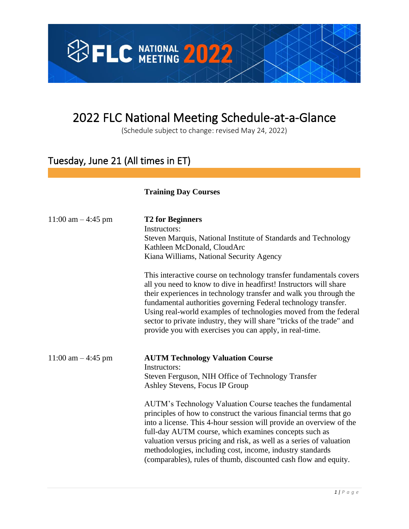

# 2022 FLC National Meeting Schedule-at-a-Glance

(Schedule subject to change: revised May 24, 2022)

## Tuesday, June 21 (All times in ET)

#### **Training Day Courses**

| 11:00 am $-4:45$ pm | <b>T2 for Beginners</b><br>Instructors:<br>Steven Marquis, National Institute of Standards and Technology<br>Kathleen McDonald, CloudArc<br>Kiana Williams, National Security Agency                                                                                                                                                                                                                                                                                                   |
|---------------------|----------------------------------------------------------------------------------------------------------------------------------------------------------------------------------------------------------------------------------------------------------------------------------------------------------------------------------------------------------------------------------------------------------------------------------------------------------------------------------------|
|                     | This interactive course on technology transfer fundamentals covers<br>all you need to know to dive in headfirst! Instructors will share<br>their experiences in technology transfer and walk you through the<br>fundamental authorities governing Federal technology transfer.<br>Using real-world examples of technologies moved from the federal<br>sector to private industry, they will share "tricks of the trade" and<br>provide you with exercises you can apply, in real-time. |
| 11:00 am $-4:45$ pm | <b>AUTM Technology Valuation Course</b><br>Instructors:<br>Steven Ferguson, NIH Office of Technology Transfer<br>Ashley Stevens, Focus IP Group                                                                                                                                                                                                                                                                                                                                        |
|                     | AUTM's Technology Valuation Course teaches the fundamental<br>principles of how to construct the various financial terms that go<br>into a license. This 4-hour session will provide an overview of the<br>full-day AUTM course, which examines concepts such as<br>valuation versus pricing and risk, as well as a series of valuation<br>methodologies, including cost, income, industry standards<br>(comparables), rules of thumb, discounted cash flow and equity.                |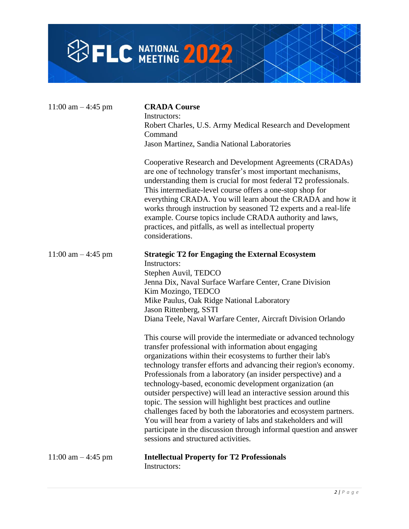

| 11:00 am $-$ 4:45 pm | <b>CRADA Course</b><br>Instructors:<br>Robert Charles, U.S. Army Medical Research and Development<br>Command<br>Jason Martinez, Sandia National Laboratories<br>Cooperative Research and Development Agreements (CRADAs)<br>are one of technology transfer's most important mechanisms,<br>understanding them is crucial for most federal T2 professionals.<br>This intermediate-level course offers a one-stop shop for<br>everything CRADA. You will learn about the CRADA and how it<br>works through instruction by seasoned T2 experts and a real-life<br>example. Course topics include CRADA authority and laws,<br>practices, and pitfalls, as well as intellectual property<br>considerations.                                                                               |
|----------------------|---------------------------------------------------------------------------------------------------------------------------------------------------------------------------------------------------------------------------------------------------------------------------------------------------------------------------------------------------------------------------------------------------------------------------------------------------------------------------------------------------------------------------------------------------------------------------------------------------------------------------------------------------------------------------------------------------------------------------------------------------------------------------------------|
| 11:00 am $-$ 4:45 pm | <b>Strategic T2 for Engaging the External Ecosystem</b><br>Instructors:<br>Stephen Auvil, TEDCO<br>Jenna Dix, Naval Surface Warfare Center, Crane Division<br>Kim Mozingo, TEDCO<br>Mike Paulus, Oak Ridge National Laboratory<br>Jason Rittenberg, SSTI<br>Diana Teele, Naval Warfare Center, Aircraft Division Orlando                                                                                                                                                                                                                                                                                                                                                                                                                                                              |
|                      | This course will provide the intermediate or advanced technology<br>transfer professional with information about engaging<br>organizations within their ecosystems to further their lab's<br>technology transfer efforts and advancing their region's economy.<br>Professionals from a laboratory (an insider perspective) and a<br>technology-based, economic development organization (an<br>outsider perspective) will lead an interactive session around this<br>topic. The session will highlight best practices and outline<br>challenges faced by both the laboratories and ecosystem partners.<br>You will hear from a variety of labs and stakeholders and will<br>participate in the discussion through informal question and answer<br>sessions and structured activities. |
| 11:00 am $-4:45$ pm  | <b>Intellectual Property for T2 Professionals</b><br>Instructors:                                                                                                                                                                                                                                                                                                                                                                                                                                                                                                                                                                                                                                                                                                                     |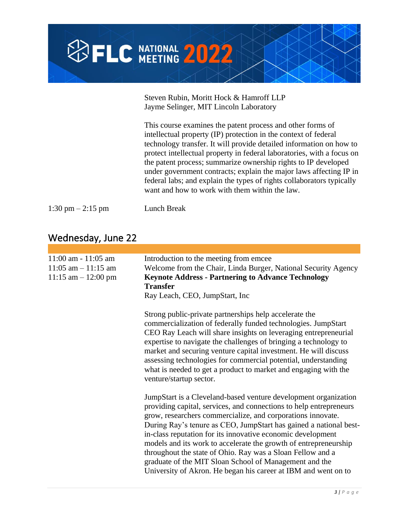

Steven Rubin, Moritt Hock & Hamroff LLP Jayme Selinger, MIT Lincoln Laboratory

This course examines the patent process and other forms of intellectual property (IP) protection in the context of federal technology transfer. It will provide detailed information on how to protect intellectual property in federal laboratories, with a focus on the patent process; summarize ownership rights to IP developed under government contracts; explain the major laws affecting IP in federal labs; and explain the types of rights collaborators typically want and how to work with them within the law.

1:30 pm – 2:15 pm Lunch Break

### Wednesday, June 22

| $11:00$ am - $11:05$ am<br>$11:05$ am $-11:15$ am<br>$11:15$ am $-12:00$ pm | Introduction to the meeting from emcee<br>Welcome from the Chair, Linda Burger, National Security Agency<br><b>Keynote Address - Partnering to Advance Technology</b><br><b>Transfer</b><br>Ray Leach, CEO, JumpStart, Inc.                                                                                                                                                                                                                                                                                                                                                                            |
|-----------------------------------------------------------------------------|--------------------------------------------------------------------------------------------------------------------------------------------------------------------------------------------------------------------------------------------------------------------------------------------------------------------------------------------------------------------------------------------------------------------------------------------------------------------------------------------------------------------------------------------------------------------------------------------------------|
|                                                                             | Strong public-private partnerships help accelerate the<br>commercialization of federally funded technologies. JumpStart<br>CEO Ray Leach will share insights on leveraging entrepreneurial<br>expertise to navigate the challenges of bringing a technology to<br>market and securing venture capital investment. He will discuss<br>assessing technologies for commercial potential, understanding<br>what is needed to get a product to market and engaging with the<br>venture/startup sector.                                                                                                      |
|                                                                             | JumpStart is a Cleveland-based venture development organization<br>providing capital, services, and connections to help entrepreneurs<br>grow, researchers commercialize, and corporations innovate.<br>During Ray's tenure as CEO, JumpStart has gained a national best-<br>in-class reputation for its innovative economic development<br>models and its work to accelerate the growth of entrepreneurship<br>throughout the state of Ohio. Ray was a Sloan Fellow and a<br>graduate of the MIT Sloan School of Management and the<br>University of Akron. He began his career at IBM and went on to |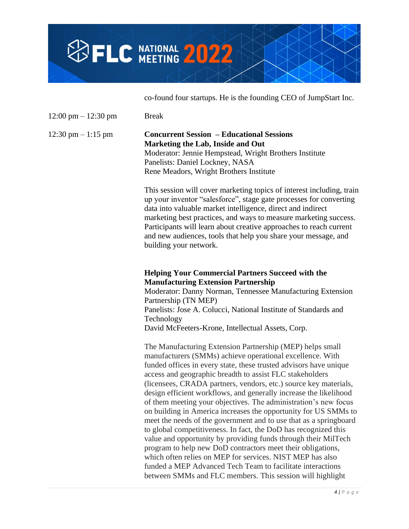

co-found four startups. He is the founding CEO of JumpStart Inc.

 $12:00 \text{ pm} - 12:30 \text{ pm}$  Break

#### 12:30 pm – 1:15 pm **Concurrent Session – Educational Sessions Marketing the Lab, Inside and Out** Moderator: Jennie Hempstead, Wright Brothers Institute Panelists: Daniel Lockney, NASA Rene Meadors, Wright Brothers Institute

This session will cover marketing topics of interest including, train up your inventor "salesforce", stage gate processes for converting data into valuable market intelligence, direct and indirect marketing best practices, and ways to measure marketing success. Participants will learn about creative approaches to reach current and new audiences, tools that help you share your message, and building your network.

#### **Helping Your Commercial Partners Succeed with the Manufacturing Extension Partnership**

Moderator: Danny Norman, Tennessee Manufacturing Extension Partnership (TN MEP) Panelists: Jose A. Colucci, National Institute of Standards and Technology David McFeeters-Krone, Intellectual Assets, Corp.

The Manufacturing Extension Partnership (MEP) helps small manufacturers (SMMs) achieve operational excellence. With funded offices in every state, these trusted advisors have unique access and geographic breadth to assist FLC stakeholders (licensees, CRADA partners, vendors, etc.) source key materials, design efficient workflows, and generally increase the likelihood of them meeting your objectives. The administration's new focus on building in America increases the opportunity for US SMMs to meet the needs of the government and to use that as a springboard to global competitiveness. In fact, the DoD has recognized this value and opportunity by providing funds through their MilTech program to help new DoD contractors meet their obligations, which often relies on MEP for services. NIST MEP has also funded a MEP Advanced Tech Team to facilitate interactions between SMMs and FLC members. This session will highlight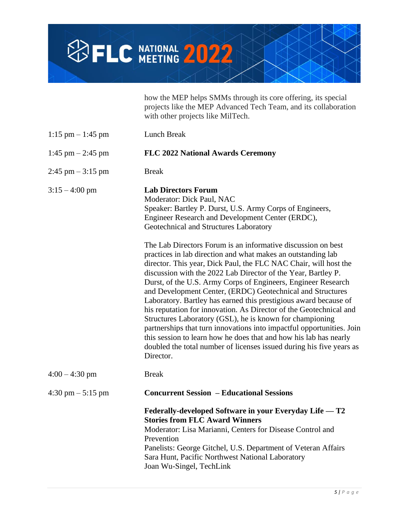

|                                     | how the MEP helps SMMs through its core offering, its special<br>projects like the MEP Advanced Tech Team, and its collaboration<br>with other projects like MilTech.                                                                                                                                                                                                                                                                                                                                                                                                                                                                                                                                                                                                                                                                                                                                |
|-------------------------------------|------------------------------------------------------------------------------------------------------------------------------------------------------------------------------------------------------------------------------------------------------------------------------------------------------------------------------------------------------------------------------------------------------------------------------------------------------------------------------------------------------------------------------------------------------------------------------------------------------------------------------------------------------------------------------------------------------------------------------------------------------------------------------------------------------------------------------------------------------------------------------------------------------|
| $1:15$ pm $-1:45$ pm                | Lunch Break                                                                                                                                                                                                                                                                                                                                                                                                                                                                                                                                                                                                                                                                                                                                                                                                                                                                                          |
| 1:45 pm $-$ 2:45 pm                 | <b>FLC 2022 National Awards Ceremony</b>                                                                                                                                                                                                                                                                                                                                                                                                                                                                                                                                                                                                                                                                                                                                                                                                                                                             |
| $2:45$ pm $-3:15$ pm                | <b>Break</b>                                                                                                                                                                                                                                                                                                                                                                                                                                                                                                                                                                                                                                                                                                                                                                                                                                                                                         |
| $3:15 - 4:00$ pm                    | <b>Lab Directors Forum</b><br>Moderator: Dick Paul, NAC<br>Speaker: Bartley P. Durst, U.S. Army Corps of Engineers,<br>Engineer Research and Development Center (ERDC),<br>Geotechnical and Structures Laboratory<br>The Lab Directors Forum is an informative discussion on best<br>practices in lab direction and what makes an outstanding lab<br>director. This year, Dick Paul, the FLC NAC Chair, will host the<br>discussion with the 2022 Lab Director of the Year, Bartley P.<br>Durst, of the U.S. Army Corps of Engineers, Engineer Research<br>and Development Center, (ERDC) Geotechnical and Structures<br>Laboratory. Bartley has earned this prestigious award because of<br>his reputation for innovation. As Director of the Geotechnical and<br>Structures Laboratory (GSL), he is known for championing<br>partnerships that turn innovations into impactful opportunities. Join |
|                                     | this session to learn how he does that and how his lab has nearly<br>doubled the total number of licenses issued during his five years as<br>Director.                                                                                                                                                                                                                                                                                                                                                                                                                                                                                                                                                                                                                                                                                                                                               |
| $4:00 - 4:30$ pm                    | <b>Break</b>                                                                                                                                                                                                                                                                                                                                                                                                                                                                                                                                                                                                                                                                                                                                                                                                                                                                                         |
| $4:30 \text{ pm} - 5:15 \text{ pm}$ | <b>Concurrent Session – Educational Sessions</b>                                                                                                                                                                                                                                                                                                                                                                                                                                                                                                                                                                                                                                                                                                                                                                                                                                                     |
|                                     | Federally-developed Software in your Everyday Life — T2<br><b>Stories from FLC Award Winners</b><br>Moderator: Lisa Marianni, Centers for Disease Control and<br>Prevention<br>Panelists: George Gitchel, U.S. Department of Veteran Affairs<br>Sara Hunt, Pacific Northwest National Laboratory<br>Joan Wu-Singel, TechLink                                                                                                                                                                                                                                                                                                                                                                                                                                                                                                                                                                         |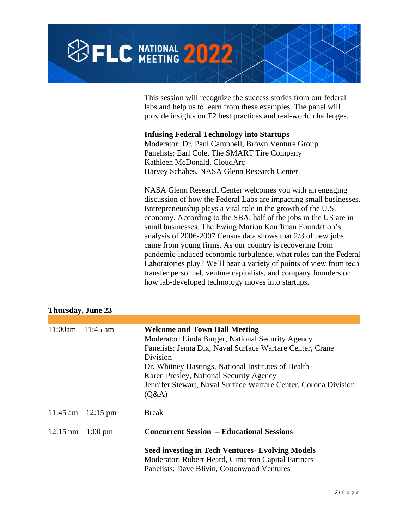

This session will recognize the success stories from our federal labs and help us to learn from these examples. The panel will provide insights on T2 best practices and real-world challenges.

#### **Infusing Federal Technology into Startups**

Moderator: Dr. Paul Campbell, Brown Venture Group Panelists: Earl Cole, The SMART Tire Company Kathleen McDonald, CloudArc Harvey Schabes, NASA Glenn Research Center

NASA Glenn Research Center welcomes you with an engaging discussion of how the Federal Labs are impacting small businesses. Entrepreneurship plays a vital role in the growth of the U.S. economy. According to the SBA, half of the jobs in the US are in small businesses. The Ewing Marion Kauffman Foundation's analysis of 2006-2007 Census data shows that 2/3 of new jobs came from young firms. As our country is recovering from pandemic-induced economic turbulence, what roles can the Federal Laboratories play? We'll hear a variety of points of view from tech transfer personnel, venture capitalists, and company founders on how lab-developed technology moves into startups.

| Thursday, June 23     |                                                                                                                                                                                                                                                                                                                                                  |
|-----------------------|--------------------------------------------------------------------------------------------------------------------------------------------------------------------------------------------------------------------------------------------------------------------------------------------------------------------------------------------------|
|                       |                                                                                                                                                                                                                                                                                                                                                  |
| $11:00am - 11:45 am$  | <b>Welcome and Town Hall Meeting</b><br>Moderator: Linda Burger, National Security Agency<br>Panelists: Jenna Dix, Naval Surface Warfare Center, Crane<br>Division<br>Dr. Whitney Hastings, National Institutes of Health<br>Karen Presley, National Security Agency<br>Jennifer Stewart, Naval Surface Warfare Center, Corona Division<br>(Q&A) |
| 11:45 am $-$ 12:15 pm | <b>Break</b>                                                                                                                                                                                                                                                                                                                                     |
| $12:15$ pm $-1:00$ pm | <b>Concurrent Session – Educational Sessions</b>                                                                                                                                                                                                                                                                                                 |
|                       | <b>Seed investing in Tech Ventures- Evolving Models</b><br>Moderator: Robert Heard, Cimarron Capital Partners<br>Panelists: Dave Blivin, Cottonwood Ventures                                                                                                                                                                                     |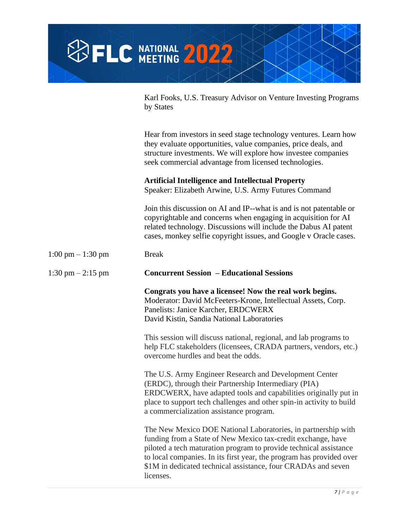

Karl Fooks, U.S. Treasury Advisor on Venture Investing Programs by States

Hear from investors in seed stage technology ventures. Learn how they evaluate opportunities, value companies, price deals, and structure investments. We will explore how investee companies seek commercial advantage from licensed technologies.

#### **Artificial Intelligence and Intellectual Property**

Speaker: Elizabeth Arwine, U.S. Army Futures Command

Join this discussion on AI and IP--what is and is not patentable or copyrightable and concerns when engaging in acquisition for AI related technology. Discussions will include the Dabus AI patent cases, monkey selfie copyright issues, and Google v Oracle cases.

1:00 pm  $- 1:30$  pm Break 1:30 pm – 2:15 pm **Concurrent Session – Educational Sessions Congrats you have a licensee! Now the real work begins.** Moderator: David McFeeters-Krone, Intellectual Assets, Corp. Panelists: Janice Karcher, ERDCWERX David Kistin, Sandia National Laboratories This session will discuss national, regional, and lab programs to help FLC stakeholders (licensees, CRADA partners, vendors, etc.) overcome hurdles and beat the odds. The U.S. Army Engineer Research and Development Center (ERDC), through their Partnership Intermediary (PIA) ERDCWERX, have adapted tools and capabilities originally put in place to support tech challenges and other spin-in activity to build a commercialization assistance program. The New Mexico DOE National Laboratories, in partnership with funding from a State of New Mexico tax-credit exchange, have piloted a tech maturation program to provide technical assistance to local companies. In its first year, the program has provided over \$1M in dedicated technical assistance, four CRADAs and seven licenses.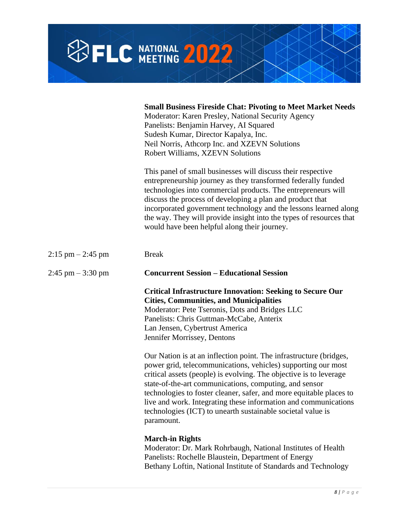

|                       | <b>Small Business Fireside Chat: Pivoting to Meet Market Needs</b><br>Moderator: Karen Presley, National Security Agency<br>Panelists: Benjamin Harvey, AI Squared<br>Sudesh Kumar, Director Kapalya, Inc.<br>Neil Norris, Athcorp Inc. and XZEVN Solutions<br>Robert Williams, XZEVN Solutions                                                                                                                                                                                            |
|-----------------------|--------------------------------------------------------------------------------------------------------------------------------------------------------------------------------------------------------------------------------------------------------------------------------------------------------------------------------------------------------------------------------------------------------------------------------------------------------------------------------------------|
|                       | This panel of small businesses will discuss their respective<br>entrepreneurship journey as they transformed federally funded<br>technologies into commercial products. The entrepreneurs will<br>discuss the process of developing a plan and product that<br>incorporated government technology and the lessons learned along<br>the way. They will provide insight into the types of resources that<br>would have been helpful along their journey.                                     |
| $2:15$ pm $- 2:45$ pm | <b>Break</b>                                                                                                                                                                                                                                                                                                                                                                                                                                                                               |
| $2:45$ pm $-3:30$ pm  | <b>Concurrent Session - Educational Session</b>                                                                                                                                                                                                                                                                                                                                                                                                                                            |
|                       | <b>Critical Infrastructure Innovation: Seeking to Secure Our</b><br><b>Cities, Communities, and Municipalities</b><br>Moderator: Pete Tseronis, Dots and Bridges LLC<br>Panelists: Chris Guttman-McCabe, Anterix<br>Lan Jensen, Cybertrust America<br>Jennifer Morrissey, Dentons                                                                                                                                                                                                          |
|                       | Our Nation is at an inflection point. The infrastructure (bridges,<br>power grid, telecommunications, vehicles) supporting our most<br>critical assets (people) is evolving. The objective is to leverage<br>state-of-the-art communications, computing, and sensor<br>technologies to foster cleaner, safer, and more equitable places to<br>live and work. Integrating these information and communications<br>technologies (ICT) to unearth sustainable societal value is<br>paramount. |
|                       | <b>March-in Rights</b><br>Moderator: Dr. Mark Rohrbaugh, National Institutes of Health<br>Panelists: Rochelle Blaustein, Department of Energy<br>Bethany Loftin, National Institute of Standards and Technology                                                                                                                                                                                                                                                                            |